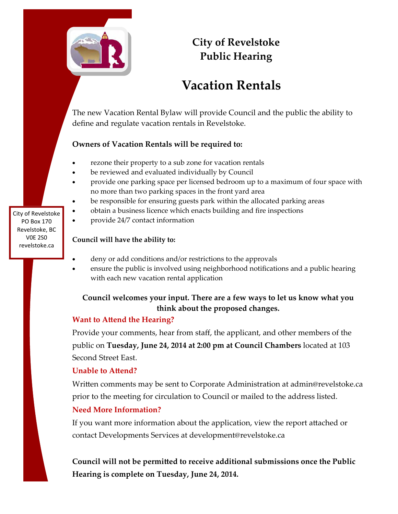

# **City of Revelstoke Public Hearing**

# **Vacation Rentals**

The new Vacation Rental Bylaw will provide Council and the public the ability to define and regulate vacation rentals in Revelstoke.

# **Owners of Vacation Rentals will be required to:**

- rezone their property to a sub zone for vacation rentals
- be reviewed and evaluated individually by Council
- provide one parking space per licensed bedroom up to a maximum of four space with no more than two parking spaces in the front yard area
- be responsible for ensuring guests park within the allocated parking areas
- obtain a business licence which enacts building and fire inspections
- provide 24/7 contact information

### **Council will have the ability to:**

- deny or add conditions and/or restrictions to the approvals
- ensure the public is involved using neighborhood notifications and a public hearing with each new vacation rental application

# **Council welcomes your input. There are a few ways to let us know what you think about the proposed changes.**

# **Want to Attend the Hearing?**

Provide your comments, hear from staff, the applicant, and other members of the public on **Tuesday, June 24, 2014 at 2:00 pm at Council Chambers** located at 103 Second Street East.

# **Unable to Attend?**

Written comments may be sent to Corporate Administration at admin@revelstoke.ca prior to the meeting for circulation to Council or mailed to the address listed.

# **Need More Information?**

If you want more information about the application, view the report attached or contact Developments Services at development@revelstoke.ca

**Council will not be permitted to receive additional submissions once the Public Hearing is complete on Tuesday, June 24, 2014.**

City of Revelstoke PO Box 170 Revelstoke, BC V0E 2S0 revelstoke.ca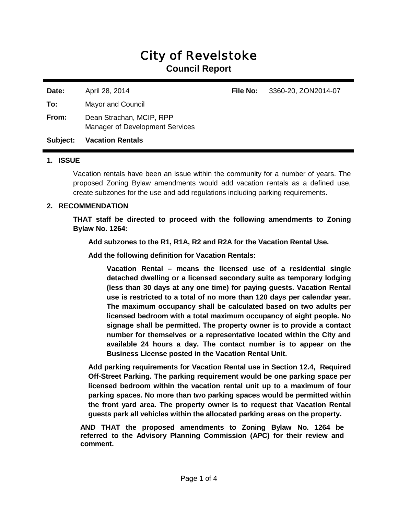# City of Revelstoke

**Council Report** 

**Date:** April 28, 2014 **File No:** 3360-20, ZON2014-07 **To:** Mayor and Council **From:** Dean Strachan, MCIP, RPP Manager of Development Services **Subject: Vacation Rentals**

#### **1. ISSUE**

Vacation rentals have been an issue within the community for a number of years. The proposed Zoning Bylaw amendments would add vacation rentals as a defined use, create subzones for the use and add regulations including parking requirements.

#### **2. RECOMMENDATION**

**THAT staff be directed to proceed with the following amendments to Zoning Bylaw No. 1264:**

**Add subzones to the R1, R1A, R2 and R2A for the Vacation Rental Use.**

**Add the following definition for Vacation Rentals:** 

**Vacation Rental – means the licensed use of a residential single detached dwelling or a licensed secondary suite as temporary lodging (less than 30 days at any one time) for paying guests. Vacation Rental use is restricted to a total of no more than 120 days per calendar year. The maximum occupancy shall be calculated based on two adults per licensed bedroom with a total maximum occupancy of eight people. No signage shall be permitted. The property owner is to provide a contact number for themselves or a representative located within the City and available 24 hours a day. The contact number is to appear on the Business License posted in the Vacation Rental Unit.**

**Add parking requirements for Vacation Rental use in Section 12.4, Required Off-Street Parking. The parking requirement would be one parking space per licensed bedroom within the vacation rental unit up to a maximum of four parking spaces. No more than two parking spaces would be permitted within the front yard area. The property owner is to request that Vacation Rental guests park all vehicles within the allocated parking areas on the property.**

**AND THAT the proposed amendments to Zoning Bylaw No. 1264 be referred to the Advisory Planning Commission (APC) for their review and comment.**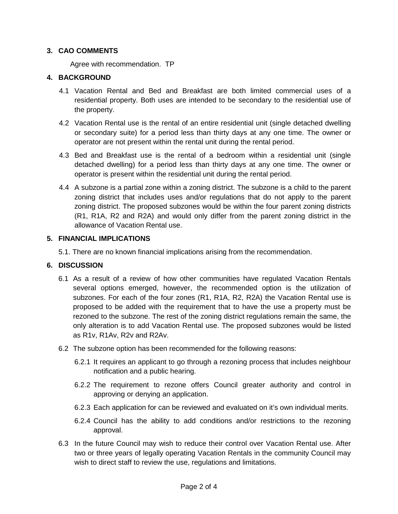#### **3. CAO COMMENTS**

Agree with recommendation. TP

#### **4. BACKGROUND**

- 4.1 Vacation Rental and Bed and Breakfast are both limited commercial uses of a residential property. Both uses are intended to be secondary to the residential use of the property.
- 4.2 Vacation Rental use is the rental of an entire residential unit (single detached dwelling or secondary suite) for a period less than thirty days at any one time. The owner or operator are not present within the rental unit during the rental period.
- 4.3 Bed and Breakfast use is the rental of a bedroom within a residential unit (single detached dwelling) for a period less than thirty days at any one time. The owner or operator is present within the residential unit during the rental period.
- 4.4 A subzone is a partial zone within a zoning district. The subzone is a child to the parent zoning district that includes uses and/or regulations that do not apply to the parent zoning district. The proposed subzones would be within the four parent zoning districts (R1, R1A, R2 and R2A) and would only differ from the parent zoning district in the allowance of Vacation Rental use.

#### **5. FINANCIAL IMPLICATIONS**

5.1. There are no known financial implications arising from the recommendation.

#### **6. DISCUSSION**

- 6.1 As a result of a review of how other communities have regulated Vacation Rentals several options emerged, however, the recommended option is the utilization of subzones. For each of the four zones (R1, R1A, R2, R2A) the Vacation Rental use is proposed to be added with the requirement that to have the use a property must be rezoned to the subzone. The rest of the zoning district regulations remain the same, the only alteration is to add Vacation Rental use. The proposed subzones would be listed as R1v, R1Av, R2v and R2Av.
- 6.2 The subzone option has been recommended for the following reasons:
	- 6.2.1 It requires an applicant to go through a rezoning process that includes neighbour notification and a public hearing.
	- 6.2.2 The requirement to rezone offers Council greater authority and control in approving or denying an application.
	- 6.2.3 Each application for can be reviewed and evaluated on it's own individual merits.
	- 6.2.4 Council has the ability to add conditions and/or restrictions to the rezoning approval.
- 6.3 In the future Council may wish to reduce their control over Vacation Rental use. After two or three years of legally operating Vacation Rentals in the community Council may wish to direct staff to review the use, regulations and limitations.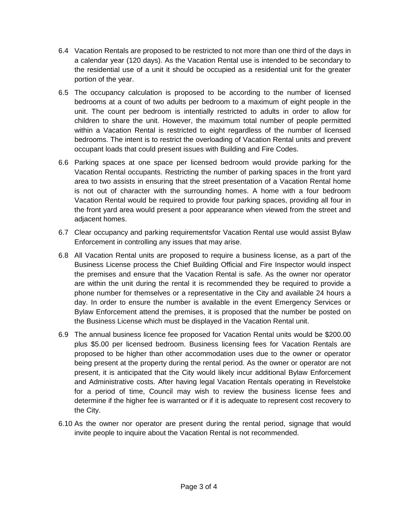- 6.4 Vacation Rentals are proposed to be restricted to not more than one third of the days in a calendar year (120 days). As the Vacation Rental use is intended to be secondary to the residential use of a unit it should be occupied as a residential unit for the greater portion of the year.
- 6.5 The occupancy calculation is proposed to be according to the number of licensed bedrooms at a count of two adults per bedroom to a maximum of eight people in the unit. The count per bedroom is intentially restricted to adults in order to allow for children to share the unit. However, the maximum total number of people permitted within a Vacation Rental is restricted to eight regardless of the number of licensed bedrooms. The intent is to restrict the overloading of Vacation Rental units and prevent occupant loads that could present issues with Building and Fire Codes.
- 6.6 Parking spaces at one space per licensed bedroom would provide parking for the Vacation Rental occupants. Restricting the number of parking spaces in the front yard area to two assists in ensuring that the street presentation of a Vacation Rental home is not out of character with the surrounding homes. A home with a four bedroom Vacation Rental would be required to provide four parking spaces, providing all four in the front yard area would present a poor appearance when viewed from the street and adjacent homes.
- 6.7 Clear occupancy and parking requirementsfor Vacation Rental use would assist Bylaw Enforcement in controlling any issues that may arise.
- 6.8 All Vacation Rental units are proposed to require a business license, as a part of the Business License process the Chief Building Official and Fire Inspector would inspect the premises and ensure that the Vacation Rental is safe. As the owner nor operator are within the unit during the rental it is recommended they be required to provide a phone number for themselves or a representative in the City and available 24 hours a day. In order to ensure the number is available in the event Emergency Services or Bylaw Enforcement attend the premises, it is proposed that the number be posted on the Business License which must be displayed in the Vacation Rental unit.
- 6.9 The annual business licence fee proposed for Vacation Rental units would be \$200.00 plus \$5.00 per licensed bedroom. Business licensing fees for Vacation Rentals are proposed to be higher than other accommodation uses due to the owner or operator being present at the property during the rental period. As the owner or operator are not present, it is anticipated that the City would likely incur additional Bylaw Enforcement and Administrative costs. After having legal Vacation Rentals operating in Revelstoke for a period of time, Council may wish to review the business license fees and determine if the higher fee is warranted or if it is adequate to represent cost recovery to the City.
- 6.10 As the owner nor operator are present during the rental period, signage that would invite people to inquire about the Vacation Rental is not recommended.